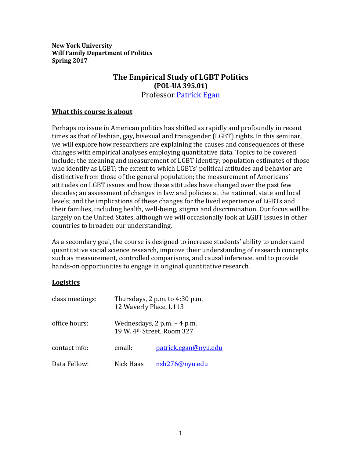**New York University Wilf Family Department of Politics Spring 2017**

# **The Empirical Study of LGBT Politics (POL-UA 395.01)** Professor [Patrick Egan](http://politics.as.nyu.edu/object/PatrickEgan.html)

#### **What this course is about**

Perhaps no issue in American politics has shifted as rapidly and profoundly in recent times as that of lesbian, gay, bisexual and transgender (LGBT) rights. In this seminar, we will explore how researchers are explaining the causes and consequences of these changes with empirical analyses employing quantitative data. Topics to be covered include: the meaning and measurement of LGBT identity; population estimates of those who identify as LGBT; the extent to which LGBTs' political attitudes and behavior are distinctive from those of the general population; the measurement of Americans' attitudes on LGBT issues and how these attitudes have changed over the past few decades; an assessment of changes in law and policies at the national, state and local levels; and the implications of these changes for the lived experience of LGBTs and their families, including health, well-being, stigma and discrimination. Our focus will be largely on the United States, although we will occasionally look at LGBT issues in other countries to broaden our understanding.

As a secondary goal, the course is designed to increase students' ability to understand quantitative social science research, improve their understanding of research concepts such as measurement, controlled comparisons, and causal inference, and to provide hands-on opportunities to engage in original quantitative research.

## **Logistics**

| class meetings: | Thursdays, $2$ p.m. to $4:30$ p.m.<br>12 Waverly Place, L113<br>Wednesdays, $2$ p.m. $-$ 4 p.m.<br>19 W. 4th Street, Room 327 |                      |
|-----------------|-------------------------------------------------------------------------------------------------------------------------------|----------------------|
| office hours:   |                                                                                                                               |                      |
| contact info:   | email:                                                                                                                        | patrick.egan@nyu.edu |
| Data Fellow:    | Nick Haas                                                                                                                     | nsh276@nyu.edu       |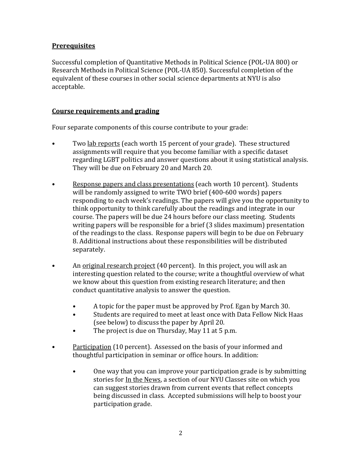## **Prerequisites**

Successful completion of Quantitative Methods in Political Science (POL-UA 800) or Research Methods in Political Science (POL-UA 850). Successful completion of the equivalent of these courses in other social science departments at NYU is also acceptable.

## **Course requirements and grading**

Four separate components of this course contribute to your grade:

- Two lab reports (each worth 15 percent of your grade). These structured assignments will require that you become familiar with a specific dataset regarding LGBT politics and answer questions about it using statistical analysis. They will be due on February 20 and March 20.
- Response papers and class presentations (each worth 10 percent). Students will be randomly assigned to write TWO brief (400-600 words) papers responding to each week's readings. The papers will give you the opportunity to think opportunity to think carefully about the readings and integrate in our course. The papers will be due 24 hours before our class meeting. Students writing papers will be responsible for a brief (3 slides maximum) presentation of the readings to the class. Response papers will begin to be due on February 8. Additional instructions about these responsibilities will be distributed separately.
- An <u>original research project</u> (40 percent). In this project, you will ask an interesting question related to the course; write a thoughtful overview of what we know about this question from existing research literature; and then conduct quantitative analysis to answer the question.
	- A topic for the paper must be approved by Prof. Egan by March 30.
	- Students are required to meet at least once with Data Fellow Nick Haas (see below) to discuss the paper by April 20.
	- The project is due on Thursday, May 11 at 5 p.m.
- Participation (10 percent). Assessed on the basis of your informed and thoughtful participation in seminar or office hours. In addition:
	- One way that you can improve your participation grade is by submitting stories for In the News, a section of our NYU Classes site on which you can suggest stories drawn from current events that reflect concepts being discussed in class. Accepted submissions will help to boost your participation grade.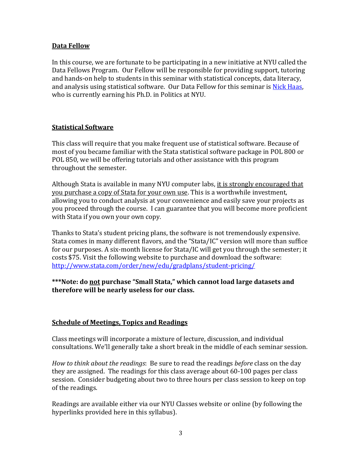## **Data Fellow**

In this course, we are fortunate to be participating in a new initiative at NYU called the Data Fellows Program. Our Fellow will be responsible for providing support, tutoring and hands-on help to students in this seminar with statistical concepts, data literacy, and analysis using statistical software. Our Data Fellow for this seminar is [Nick Haas,](https://www.linkedin.com/in/nicholas-haas-62653622) who is currently earning his Ph.D. in Politics at NYU.

## **Statistical Software**

This class will require that you make frequent use of statistical software. Because of most of you became familiar with the Stata statistical software package in POL 800 or POL 850, we will be offering tutorials and other assistance with this program throughout the semester.

Although Stata is available in many NYU computer labs, it is strongly encouraged that you purchase a copy of Stata for your own use. This is a worthwhile investment, allowing you to conduct analysis at your convenience and easily save your projects as you proceed through the course. I can guarantee that you will become more proficient with Stata if you own your own copy.

Thanks to Stata's student pricing plans, the software is not tremendously expensive. Stata comes in many different flavors, and the "Stata/IC" version will more than suffice for our purposes. A six-month license for Stata/IC will get you through the semester; it costs \$75. Visit the following website to purchase and download the software: <http://www.stata.com/order/new/edu/gradplans/student-pricing/>

## **\*\*\*Note: do not purchase "Small Stata," which cannot load large datasets and therefore will be nearly useless for our class.**

## **Schedule of Meetings, Topics and Readings**

Class meetings will incorporate a mixture of lecture, discussion, and individual consultations. We'll generally take a short break in the middle of each seminar session.

*How to think about the readings*: Be sure to read the readings *before* class on the day they are assigned. The readings for this class average about 60-100 pages per class session. Consider budgeting about two to three hours per class session to keep on top of the readings.

Readings are available either via our NYU Classes website or online (by following the hyperlinks provided here in this syllabus).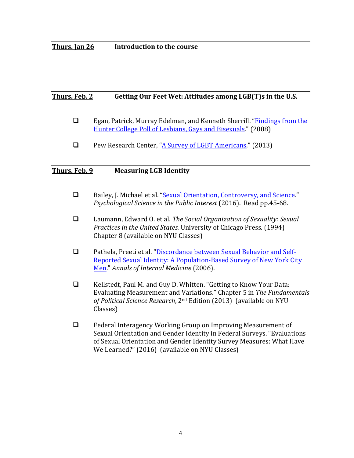## **Thurs. Jan 26 Introduction to the course**

## **Thurs. Feb. 2 Getting Our Feet Wet: Attitudes among LGB(T)s in the U.S.**

- Egan, Patrick, Murray Edelman, and Kenneth Sherrill. "**Findings from the** [Hunter College Poll of Lesbians, Gays and Bisexuals."](http://politics.as.nyu.edu/docs/IO/4819/hunter_college_poll.pdf) (2008)
- Pew Research Center, ["A Survey of LGBT Americans."](http://www.pewsocialtrends.org/files/2013/06/SDT_LGBT-Americans_06-2013.pdf) (2013)

#### **Thurs. Feb. 9 Measuring LGB Identity**

- □ Bailey, J. Michael et al. ["Sexual Orientation, Controversy, and Science.](http://journals.sagepub.com/doi/pdf/10.1177/1529100616637616)" *Psychological Science in the Public Interest* (2016). Read pp.45-68.
- Laumann, Edward O. et al. *The Social Organization of Sexuality: Sexual Practices in the United States.* University of Chicago Press. (1994) Chapter 8 (available on NYU Classes)
- Pathela, Preeti et al. ["Discordance between Sexual Behavior and Self-](http://annals.org/aim/article/728543/discordance-between-sexual-behavior-self-reported-sexual-identity-population-based)[Reported Sexual Identity: A Population-Based Survey of New York City](http://annals.org/aim/article/728543/discordance-between-sexual-behavior-self-reported-sexual-identity-population-based)  [Men."](http://annals.org/aim/article/728543/discordance-between-sexual-behavior-self-reported-sexual-identity-population-based) *Annals of Internal Medicine* (2006).
- $\Box$  Kellstedt, Paul M. and Guy D. Whitten. "Getting to Know Your Data: Evaluating Measurement and Variations." Chapter 5 in *The Fundamentals of Political Science Research*, 2nd Edition (2013) (available on NYU Classes)
- □ Federal Interagency Working Group on Improving Measurement of Sexual Orientation and Gender Identity in Federal Surveys. "Evaluations of Sexual Orientation and Gender Identity Survey Measures: What Have We Learned?" (2016) (available on NYU Classes)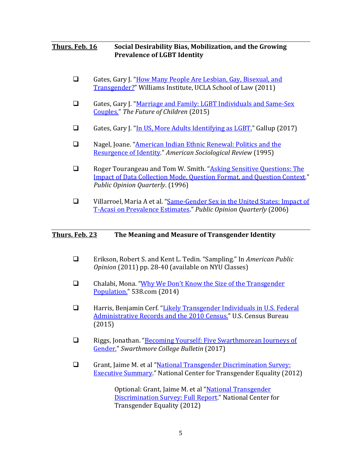## **Thurs. Feb. 16 Social Desirability Bias, Mobilization, and the Growing Prevalence of LGBT Identity**

- Gates, Gary J. "How Many People Are Lesbian, Gay, Bisexual, and [Transgender?"](http://williamsinstitute.law.ucla.edu/wp-content/uploads/Gates-How-Many-People-LGBT-Apr-2011.pdf) Williams Institute, UCLA School of Law (2011)
- Gates, Gary J. ["Marriage and Family: LGBT Individuals and Same-Sex](https://www.princeton.edu/futureofchildren/publications/docs/MarriageandFamily.pdf)  [Couples."](https://www.princeton.edu/futureofchildren/publications/docs/MarriageandFamily.pdf) *The Future of Children* (2015)
- Gates, Gary J. "In US, More Adults Identifying as  $LGBT$ ." Gallup (2017)
- □ Nagel, Joane. "American Indian Ethnic Renewal: Politics and the [Resurgence of Identity.](https://www.jstor.org/stable/pdf/2096434.pdf)" *American Sociological Review* (1995)
- □ Roger Tourangeau and Tom W. Smith. "Asking Sensitive Questions: The [Impact of Data Collection Mode, Question Format, and Question Context."](http://poq.oxfordjournals.org/content/60/2/275.full.pdf+html) *Public Opinion Quarterly*. (1996)
- □ Villarroel, Maria A et al. "Same-Gender Sex in the United States: Impact of [T-Acasi on Prevalence Estimates.](http://poq.oxfordjournals.org/content/70/2/166.abstract)" *Public Opinion Quarterly* (2006)

## **Thurs. Feb. 23 The Meaning and Measure of Transgender Identity**

- Erikson, Robert S. and Kent L. Tedin. "Sampling." In *American Public Opinion* (2011) pp. 28-40 (available on NYU Classes)
- Chalabi, Mona. ["Why We Don't Know the Size of the Transgender](https://fivethirtyeight.com/features/why-we-dont-know-the-size-of-the-transgender-population/)  [Population."](https://fivethirtyeight.com/features/why-we-dont-know-the-size-of-the-transgender-population/) 538.com (2014)
- □ Harris, Benjamin Cerf. "Likely Transgender Individuals in U.S. Federal [Administrative Records and the 2010 Census."](http://www.census.gov/srd/carra/15_03_Likely_Transgender_Individuals_in_ARs_and_2010Census.pdf) U.S. Census Bureau (2015)
- □ Riggs, Jonathan. "Becoming Yourself: Five Swarthmorean Journeys of [Gender."](http://bulletin.swarthmore.edu/winter-2017-issue-ii-volume-cxiv/becoming-yourself) *Swarthmore College Bulletin* (2017)
- Grant, Jaime M. et al "National Transgender Discrimination Survey: [Executive Summary.](http://www.transequality.org/sites/default/files/docs/resources/NTDS_Exec_Summary.pdf)" National Center for Transgender Equality (2012)

Optional: Grant, Jaime M. et al ["National Transgender](http://www.transequality.org/sites/default/files/docs/resources/NTDS_Report.pdf)  [Discrimination Survey: Full Report.](http://www.transequality.org/sites/default/files/docs/resources/NTDS_Report.pdf)" National Center for Transgender Equality (2012)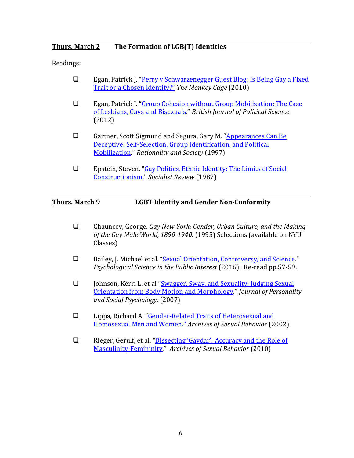## **Thurs. March 2 The Formation of LGB(T) Identities**

Readings:

- □ Egan, Patrick J. "Perry v Schwarzenegger Guest Blog: Is Being Gay a Fixed [Trait or a Chosen Identity?"](http://themonkeycage.org/2010/01/perry_v_schwarzenegger_guest_b_1/) *The Monkey Cage* (2010)
- Egan, Patrick J. ["Group Cohesion without Group Mobilization: The Case](http://politics.as.nyu.edu/docs/IO/4819/egan.bjps.2012.pdf)  [of Lesbians, Gays and Bisexuals.](http://politics.as.nyu.edu/docs/IO/4819/egan.bjps.2012.pdf)" *British Journal of Political Science* (2012)
- Gartner, Scott Sigmund and Segura, Gary M. "Appearances Can Be [Deceptive: Self-Selection, Group Identification, and Political](http://journals.sagepub.com/doi/pdf/10.1177/104346397009002001)  [Mobilization."](http://journals.sagepub.com/doi/pdf/10.1177/104346397009002001) *Rationality and Society* (1997)
- Epstein, Steven. ["Gay Politics, Ethnic Identity: The Limits of Social](http://www.williamapercy.com/wiki/images/Gay_Politics,Ethnic_Identity.pdf)  [Constructionism.](http://www.williamapercy.com/wiki/images/Gay_Politics,Ethnic_Identity.pdf)" *Socialist Review* (1987)

## **Thurs. March 9 LGBT Identity and Gender Non-Conformity**

- Chauncey, George. *Gay New York: Gender, Urban Culture, and the Making of the Gay Male World, 1890-1940.* (1995) Selections (available on NYU Classes)
- □ Bailey, J. Michael et al. ["Sexual Orientation, Controversy, and Science.](http://journals.sagepub.com/doi/pdf/10.1177/1529100616637616)" *Psychological Science in the Public Interest* (2016). Re-read pp.57-59.
- Johnson, Kerri L. et al ["Swagger, Sway, and Sexuality: Judging Sexual](http://psycnet.apa.org/index.cfm?fa=fulltext.journal&jcode=psp&vol=93&issue=3&page=321&format=PDF)  [Orientation from Body Motion and Morphology.](http://psycnet.apa.org/index.cfm?fa=fulltext.journal&jcode=psp&vol=93&issue=3&page=321&format=PDF)" *Journal of Personality and Social Psychology.* (2007)
- Lippa, Richard A. ["Gender-Related Traits of Heterosexual and](http://download.springer.com/static/pdf/849/art%253A10.1023%252FA%253A1014035302843.pdf?originUrl=http%3A%2F%2Flink.springer.com%2Farticle%2F10.1023%2FA%3A1014035302843&token2=exp=1485447162%7Eacl=%2Fstatic%2Fpdf%2F849%2Fart%25253A10.1023%25252FA%25253A1014035302843.pdf%3ForiginUrl%3Dhttp%253A%252F%252Flink.springer.com%252Farticle%252F10.1023%252FA%253A1014035302843*%7Ehmac=0eb02944cbaa86c90baea22eea9e25f9a0ded6a5e897b69afe8066264bd76b57)  [Homosexual Men and Women."](http://download.springer.com/static/pdf/849/art%253A10.1023%252FA%253A1014035302843.pdf?originUrl=http%3A%2F%2Flink.springer.com%2Farticle%2F10.1023%2FA%3A1014035302843&token2=exp=1485447162%7Eacl=%2Fstatic%2Fpdf%2F849%2Fart%25253A10.1023%25252FA%25253A1014035302843.pdf%3ForiginUrl%3Dhttp%253A%252F%252Flink.springer.com%252Farticle%252F10.1023%252FA%253A1014035302843*%7Ehmac=0eb02944cbaa86c90baea22eea9e25f9a0ded6a5e897b69afe8066264bd76b57) *Archives of Sexual Behavior* (2002)
- □ Rieger, Gerulf, et al. "Dissecting 'Gaydar': Accuracy and the Role of [Masculinity-Femininity.](http://link.springer.com/article/10.1007/s10508-008-9405-2)" *Archives of Sexual Behavior* (2010)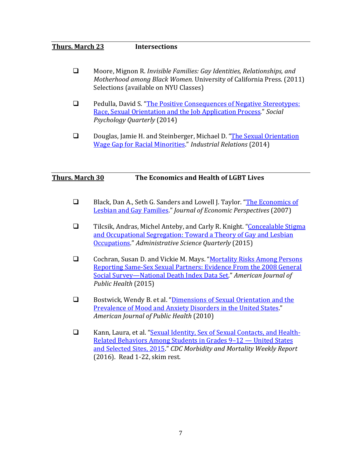## **Thurs. March 23 Intersections**

- Moore, Mignon R. *Invisible Families: Gay Identities, Relationships, and Motherhood among Black Women.* University of California Press. (2011) Selections (available on NYU Classes)
- **Q** Pedulla, David S. "The Positive Consequences of Negative Stereotypes: [Race, Sexual Orientation and the Job Application Process.](http://journals.sagepub.com/doi/abs/10.1177/0190272513506229?ssource=mfr&rss=1)" *Social Psychology Quarterly* (2014)
- Douglas, Jamie H. and Steinberger, Michael D. "The Sexual Orientation [Wage Gap for Racial Minorities.](http://onlinelibrary.wiley.com/doi/10.1111/irel.12077/abstract)" *Industrial Relations* (2014)

## **Thurs. March 30 The Economics and Health of LGBT Lives**

- □ Black, Dan A., Seth G. Sanders and Lowell J. Taylor. "The Economics of [Lesbian and Gay Families.](https://www.aeaweb.org/articles?id=10.1257/jep.21.2.53)" *Journal of Economic Perspectives* (2007)
- □ Tilcsik, Andras, Michel Anteby, and Carly R. Knight. "Concealable Stigma [and Occupational Segregation: Toward a Theory of Gay and Lesbian](http://journals.sagepub.com/doi/abs/10.1177/0001839215576401)  [Occupations.](http://journals.sagepub.com/doi/abs/10.1177/0001839215576401)" *Administrative Science Quarterly* (2015)
- □ Cochran, Susan D. and Vickie M. Mays. "Mortality Risks Among Persons [Reporting Same-Sex Sexual Partners: Evidence From the 2008 General](http://ajph.aphapublications.org/doi/pdf/10.2105/AJPH.2014.301974)  [Social Survey—National Death Index Data Set.](http://ajph.aphapublications.org/doi/pdf/10.2105/AJPH.2014.301974)" *American Journal of Public Health* (2015)
- **Example 3** Bostwick, Wendy B. et al. "Dimensions of Sexual Orientation and the [Prevalence of Mood and Anxiety Disorders in the United States.](http://ajph.aphapublications.org/doi/abs/10.2105/AJPH.2008.152942)" *American Journal of Public Health* (2010)
- □ Kann, Laura, et al. ["Sexual Identity, Sex of Sexual Contacts, and Health-](https://www.cdc.gov/mmwr/volumes/65/ss/pdfs/ss6509.pdf)[Related Behaviors Among Students in Grades 9–12 —](https://www.cdc.gov/mmwr/volumes/65/ss/pdfs/ss6509.pdf) United States [and Selected Sites, 2015."](https://www.cdc.gov/mmwr/volumes/65/ss/pdfs/ss6509.pdf) *CDC Morbidity and Mortality Weekly Report* (2016). Read 1-22, skim rest.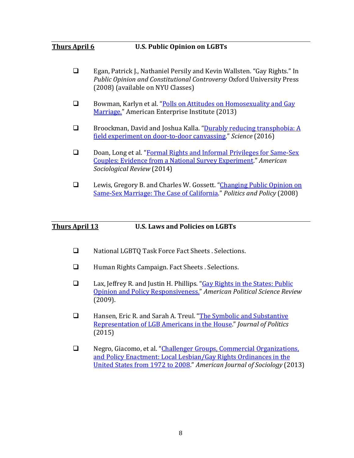#### **Thurs April 6 U.S. Public Opinion on LGBTs**

- Egan, Patrick J., Nathaniel Persily and Kevin Wallsten. "Gay Rights." In *Public Opinion and Constitutional Controversy* Oxford University Press (2008) (available on NYU Classes)
- □ Bowman, Karlyn et al. "Polls on Attitudes on Homosexuality and Gay [Marriage."](https://www.aei.org/wp-content/uploads/2013/03/-polls-on-attitudes-on-homosexuality-gay-marriage_151640318614.pdf) American Enterprise Institute (2013)
- $\Box$  Broockman, David and Joshua Kalla. "Durably reducing transphobia: A [field experiment on door-to-door canvassing."](http://science.sciencemag.org/content/352/6282/220.full) *Science* (2016)
- Doan, Long et al. "Formal Rights and Informal Privileges for Same-Sex [Couples: Evidence from a National Survey Experiment."](http://journals.sagepub.com/doi/abs/10.1177/0003122414555886) *American Sociological Review* (2014)
- □ Lewis, Gregory B. and Charles W. Gossett. "Changing Public Opinion on Same-Sex Marriage: [The Case of California."](http://onlinelibrary.wiley.com/doi/10.1111/j.1747-1346.2007.00092.x/full) *Politics and Policy* (2008)

#### **Thurs April 13 U.S. Laws and Policies on LGBTs**

- □ National LGBTQ Task Force Fact Sheets . Selections.
- □ Human Rights Campaign. Fact Sheets . Selections.
- □ Lax, Jeffrey R. and Justin H. Phillips. "Gay Rights in the States: Public [Opinion and Policy Responsiveness."](http://www.columbia.edu/%7Ejrl2124/Lax_Phillips_Gay_Policy_Responsiveness_2009.pdf) *American Political Science Review* (2009).
- Hansen, Eric R. and Sarah A. Treul. ["The Symbolic and Substantive](http://www.jstor.org/stable/10.1086/682699?seq=1#page_scan_tab_contents)  [Representation of LGB Americans in the House."](http://www.jstor.org/stable/10.1086/682699?seq=1#page_scan_tab_contents) *Journal of Politics* (2015)
- Negro, Giacomo, et al. ["Challenger Groups, Commercial Organizations,](https://www.gsb.stanford.edu/sites/gsb/files/publication-pdf/Negro%20et%20al.%202013%20AJS.pdf)  [and Policy Enactment: Local Lesbian/Gay Rights Ordinances in the](https://www.gsb.stanford.edu/sites/gsb/files/publication-pdf/Negro%20et%20al.%202013%20AJS.pdf)  [United States from 1972 to 2008.](https://www.gsb.stanford.edu/sites/gsb/files/publication-pdf/Negro%20et%20al.%202013%20AJS.pdf)" *American Journal of Sociology* (2013)